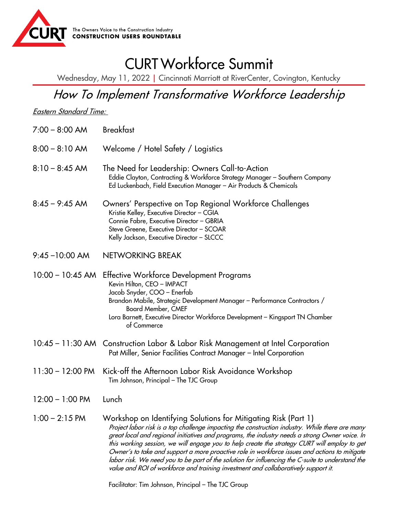

## CURT Workforce Summit

Wednesday, May 11, 2022 | Cincinnati Marriott at RiverCenter, Covington, Kentucky

## How To Implement Transformative Workforce Leadership

Eastern Standard Time:

- 7:00 8:00 AM Breakfast
- 8:00 8:10 AM Welcome / Hotel Safety / Logistics
- 8:10 8:45 AM The Need for Leadership: Owners Call-to-Action Eddie Clayton, Contracting & Workforce Strategy Manager – Southern Company Ed Luckenbach, Field Execution Manager – Air Products & Chemicals
- 8:45 9:45 AM Owners' Perspective on Top Regional Workforce Challenges Kristie Kelley, Executive Director – CGIA Connie Fabre, Executive Director – GBRIA Steve Greene, Executive Director – SCOAR Kelly Jackson, Executive Director – SLCCC
- 9:45 –10:00 AM NETWORKING BREAK
- 10:00 10:45 AM Effective Workforce Development Programs Kevin Hilton, CEO – IMPACT Jacob Snyder, COO – Enerfab Brandon Mabile, Strategic Development Manager – Performance Contractors / Board Member, CMEF Lora Barnett, Executive Director Workforce Development – Kingsport TN Chamber of Commerce
- 10:45 11:30 AM Construction Labor & Labor Risk Management at Intel Corporation Pat Miller, Senior Facilities Contract Manager – Intel Corporation
- 11:30 12:00 PM Kick-off the Afternoon Labor Risk Avoidance Workshop Tim Johnson, Principal – The TJC Group
- 12:00 1:00 PM Lunch
- 1:00 2:15 PM Workshop on Identifying Solutions for Mitigating Risk (Part 1) Project labor risk is a top challenge impacting the construction industry. While there are many great local and regional initiatives and programs, the industry needs a strong Owner voice. In this working session, we will engage you to help create the strategy CURT will employ to get Owner's to take and support a more proactive role in workforce issues and actions to mitigate labor risk. We need you to be part of the solution for influencing the C-suite to understand the value and ROI of workforce and training investment and collaboratively support it.

Facilitator: Tim Johnson, Principal – The TJC Group